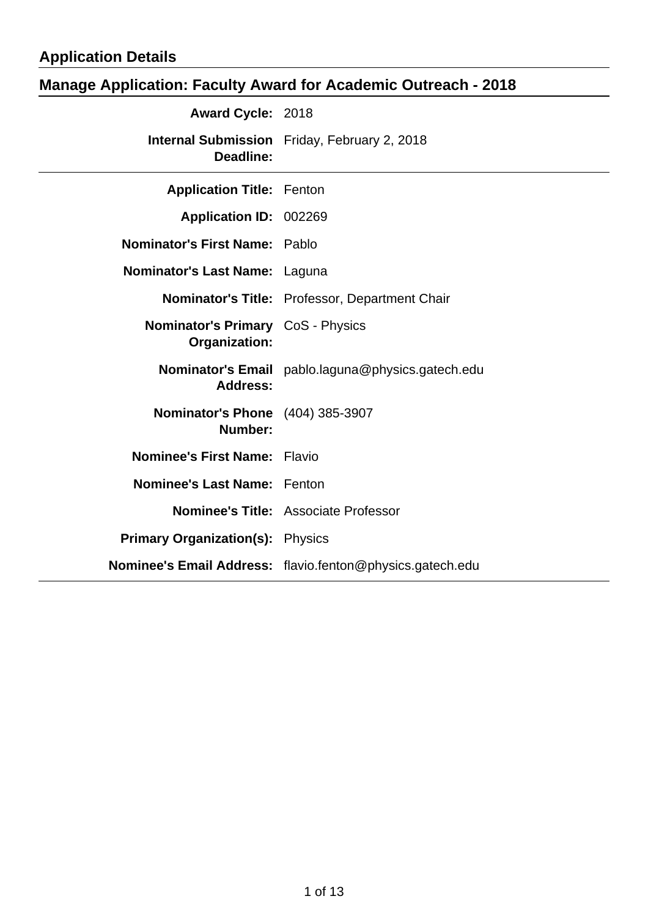## **Application Details**

# **Manage Application: Faculty Award for Academic Outreach - 2018**

| <b>Award Cycle: 2018</b>                                  |                                                           |
|-----------------------------------------------------------|-----------------------------------------------------------|
| <b>Deadline:</b>                                          | <b>Internal Submission</b> Friday, February 2, 2018       |
| <b>Application Title: Fenton</b>                          |                                                           |
| Application ID: 002269                                    |                                                           |
| Nominator's First Name: Pablo                             |                                                           |
| Nominator's Last Name: Laguna                             |                                                           |
|                                                           | <b>Nominator's Title: Professor, Department Chair</b>     |
| <b>Nominator's Primary</b> CoS - Physics<br>Organization: |                                                           |
| <b>Address:</b>                                           | Nominator's Email pablo.laguna@physics.gatech.edu         |
| <b>Nominator's Phone</b> (404) 385-3907<br>Number:        |                                                           |
| Nominee's First Name: Flavio                              |                                                           |
| <b>Nominee's Last Name: Fenton</b>                        |                                                           |
|                                                           | Nominee's Title: Associate Professor                      |
| <b>Primary Organization(s): Physics</b>                   |                                                           |
|                                                           | Nominee's Email Address: flavio.fenton@physics.gatech.edu |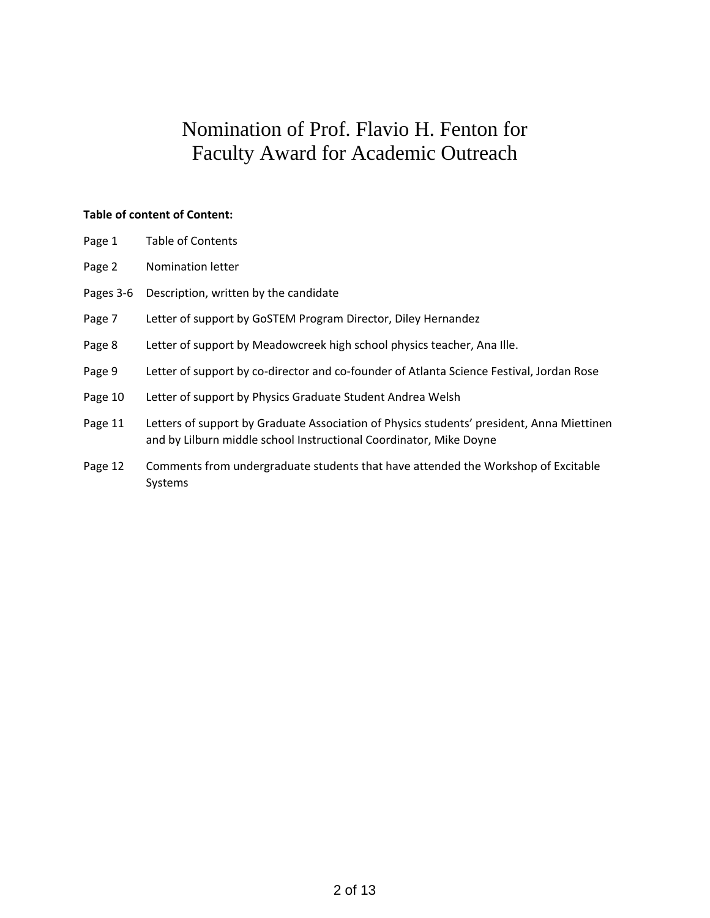## Nomination of Prof. Flavio H. Fenton for Faculty Award for Academic Outreach

#### **Table of content of Content:**

- Page 1 Table of Contents
- Page 2 Nomination letter
- Pages 3-6 Description, written by the candidate
- Page 7 Letter of support by GoSTEM Program Director, Diley Hernandez
- Page 8 Letter of support by Meadowcreek high school physics teacher, Ana Ille.
- Page 9 Letter of support by co-director and co-founder of Atlanta Science Festival, Jordan Rose
- Page 10 Letter of support by Physics Graduate Student Andrea Welsh
- Page 11 Letters of support by Graduate Association of Physics students' president, Anna Miettinen and by Lilburn middle school Instructional Coordinator, Mike Doyne
- Page 12 Comments from undergraduate students that have attended the Workshop of Excitable Systems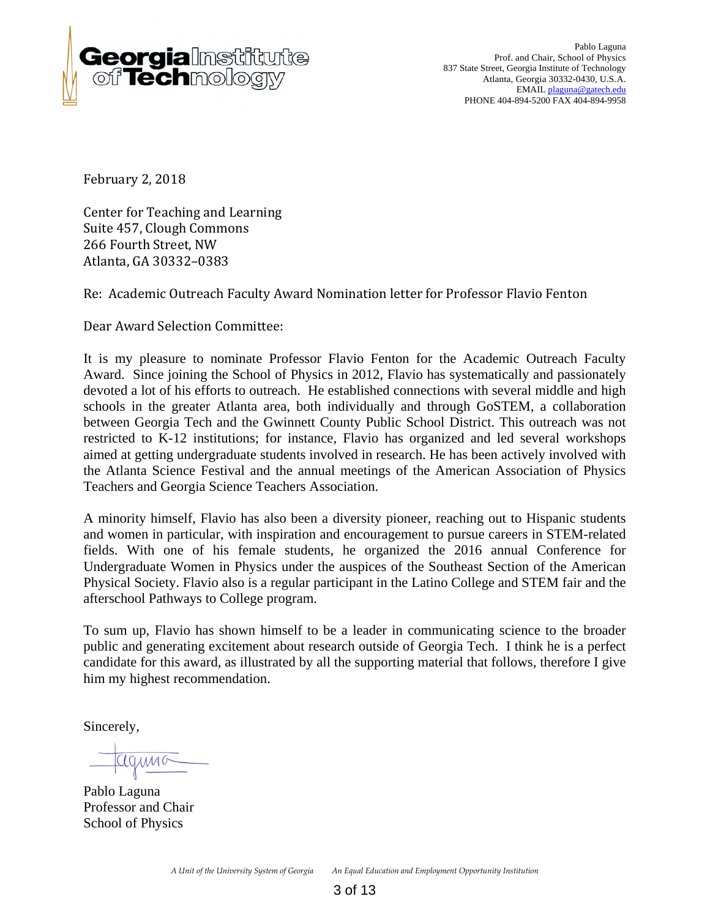

Pablo Laguna Prof. and Chair, School of Physics 837 State Street, Georgia Institute of Technology Atlanta, Georgia 30332-0430, U.S.A. EMAIL plaguna@gatech.edu PHONE 404-894-5200 FAX 404-894-9958

February 2, 2018

Center for Teaching and Learning Suite 457, Clough Commons 266 Fourth Street, NW Atlanta, GA 30332–0383

Re: Academic Outreach Faculty Award Nomination letter for Professor Flavio Fenton

Dear Award Selection Committee:

It is my pleasure to nominate Professor Flavio Fenton for the Academic Outreach Faculty Award. Since joining the School of Physics in 2012, Flavio has systematically and passionately devoted a lot of his efforts to outreach. He established connections with several middle and high schools in the greater Atlanta area, both individually and through GoSTEM, a collaboration between Georgia Tech and the Gwinnett County Public School District. This outreach was not restricted to K-12 institutions; for instance, Flavio has organized and led several workshops aimed at getting undergraduate students involved in research. He has been actively involved with the Atlanta Science Festival and the annual meetings of the American Association of Physics Teachers and Georgia Science Teachers Association.

A minority himself, Flavio has also been a diversity pioneer, reaching out to Hispanic students and women in particular, with inspiration and encouragement to pursue careers in STEM-related fields. With one of his female students, he organized the 2016 annual Conference for Undergraduate Women in Physics under the auspices of the Southeast Section of the American Physical Society. Flavio also is a regular participant in the Latino College and STEM fair and the afterschool Pathways to College program.

To sum up, Flavio has shown himself to be a leader in communicating science to the broader public and generating excitement about research outside of Georgia Tech. I think he is a perfect candidate for this award, as illustrated by all the supporting material that follows, therefore I give him my highest recommendation.

Sincerely,

Pablo Laguna Professor and Chair School of Physics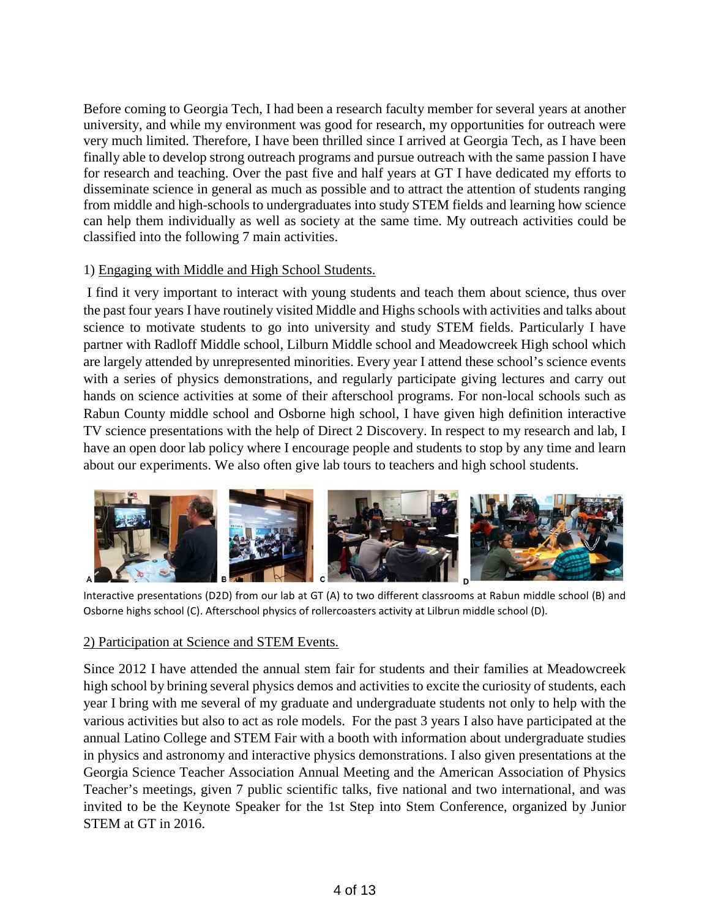Before coming to Georgia Tech, I had been a research faculty member for several years at another university, and while my environment was good for research, my opportunities for outreach were very much limited. Therefore, I have been thrilled since I arrived at Georgia Tech, as I have been finally able to develop strong outreach programs and pursue outreach with the same passion I have for research and teaching. Over the past five and half years at GT I have dedicated my efforts to disseminate science in general as much as possible and to attract the attention of students ranging from middle and high-schools to undergraduates into study STEM fields and learning how science can help them individually as well as society at the same time. My outreach activities could be classified into the following 7 main activities.

### 1) Engaging with Middle and High School Students.

I find it very important to interact with young students and teach them about science, thus over the past four years I have routinely visited Middle and Highs schools with activities and talks about science to motivate students to go into university and study STEM fields. Particularly I have partner with Radloff Middle school, Lilburn Middle school and Meadowcreek High school which are largely attended by unrepresented minorities. Every year I attend these school's science events with a series of physics demonstrations, and regularly participate giving lectures and carry out hands on science activities at some of their afterschool programs. For non-local schools such as Rabun County middle school and Osborne high school, I have given high definition interactive TV science presentations with the help of Direct 2 Discovery. In respect to my research and lab, I have an open door lab policy where I encourage people and students to stop by any time and learn about our experiments. We also often give lab tours to teachers and high school students.



Interactive presentations (D2D) from our lab at GT (A) to two different classrooms at Rabun middle school (B) and Osborne highs school (C). Afterschool physics of rollercoasters activity at Lilbrun middle school (D).

#### 2) Participation at Science and STEM Events.

Since 2012 I have attended the annual stem fair for students and their families at Meadowcreek high school by brining several physics demos and activities to excite the curiosity of students, each year I bring with me several of my graduate and undergraduate students not only to help with the various activities but also to act as role models. For the past 3 years I also have participated at the annual Latino College and STEM Fair with a booth with information about undergraduate studies in physics and astronomy and interactive physics demonstrations. I also given presentations at the Georgia Science Teacher Association Annual Meeting and the American Association of Physics Teacher's meetings, given 7 public scientific talks, five national and two international, and was invited to be the Keynote Speaker for the 1st Step into Stem Conference, organized by Junior STEM at GT in 2016.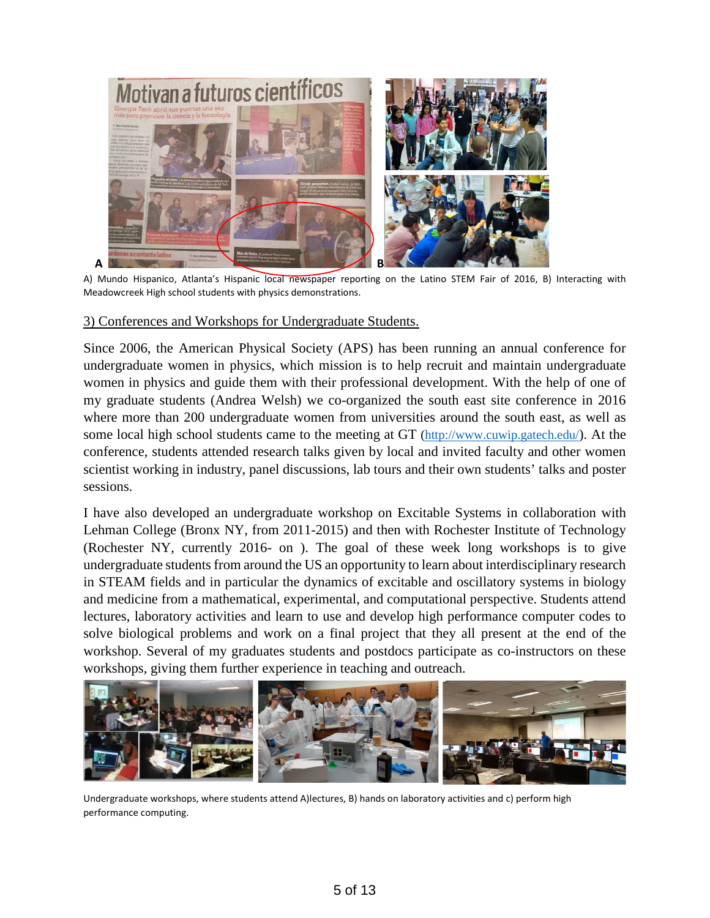

A) Mundo Hispanico, Atlanta's Hispanic local newspaper reporting on the Latino STEM Fair of 2016, B) Interacting with Meadowcreek High school students with physics demonstrations.

#### 3) Conferences and Workshops for Undergraduate Students.

Since 2006, the American Physical Society (APS) has been running an annual conference for undergraduate women in physics, which mission is to help recruit and maintain undergraduate women in physics and guide them with their professional development. With the help of one of my graduate students (Andrea Welsh) we co-organized the south east site conference in 2016 where more than 200 undergraduate women from universities around the south east, as well as some local high school students came to the meeting at GT [\(http://www.cuwip.gatech.edu/\)](http://www.cuwip.gatech.edu/). At the conference, students attended research talks given by local and invited faculty and other women scientist working in industry, panel discussions, lab tours and their own students' talks and poster sessions.

I have also developed an undergraduate workshop on Excitable Systems in collaboration with Lehman College (Bronx NY, from 2011-2015) and then with Rochester Institute of Technology (Rochester NY, currently 2016- on ). The goal of these week long workshops is to give undergraduate students from around the US an opportunity to learn about interdisciplinary research in STEAM fields and in particular the dynamics of excitable and oscillatory systems in biology and medicine from a mathematical, experimental, and computational perspective. Students attend lectures, laboratory activities and learn to use and develop high performance computer codes to solve biological problems and work on a final project that they all present at the end of the workshop. Several of my graduates students and postdocs participate as co-instructors on these workshops, giving them further experience in teaching and outreach.



Undergraduate workshops, where students attend A)lectures, B) hands on laboratory activities and c) perform high performance computing.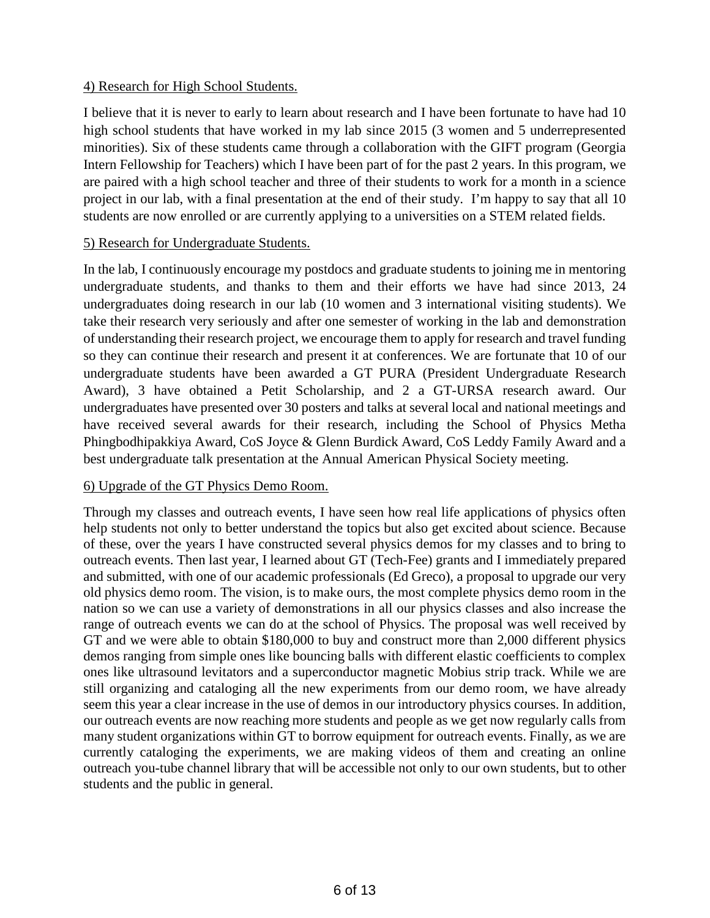### 4) Research for High School Students.

I believe that it is never to early to learn about research and I have been fortunate to have had 10 high school students that have worked in my lab since 2015 (3 women and 5 underrepresented minorities). Six of these students came through a collaboration with the GIFT program (Georgia Intern Fellowship for Teachers) which I have been part of for the past 2 years. In this program, we are paired with a high school teacher and three of their students to work for a month in a science project in our lab, with a final presentation at the end of their study. I'm happy to say that all 10 students are now enrolled or are currently applying to a universities on a STEM related fields.

#### 5) Research for Undergraduate Students.

In the lab, I continuously encourage my postdocs and graduate students to joining me in mentoring undergraduate students, and thanks to them and their efforts we have had since 2013, 24 undergraduates doing research in our lab (10 women and 3 international visiting students). We take their research very seriously and after one semester of working in the lab and demonstration of understanding their research project, we encourage them to apply for research and travel funding so they can continue their research and present it at conferences. We are fortunate that 10 of our undergraduate students have been awarded a GT PURA (President Undergraduate Research Award), 3 have obtained a Petit Scholarship, and 2 a GT-URSA research award. Our undergraduates have presented over 30 posters and talks at several local and national meetings and have received several awards for their research, including the School of Physics Metha Phingbodhipakkiya Award, CoS Joyce & Glenn Burdick Award, CoS Leddy Family Award and a best undergraduate talk presentation at the Annual American Physical Society meeting.

### 6) Upgrade of the GT Physics Demo Room.

Through my classes and outreach events, I have seen how real life applications of physics often help students not only to better understand the topics but also get excited about science. Because of these, over the years I have constructed several physics demos for my classes and to bring to outreach events. Then last year, I learned about GT (Tech-Fee) grants and I immediately prepared and submitted, with one of our academic professionals (Ed Greco), a proposal to upgrade our very old physics demo room. The vision, is to make ours, the most complete physics demo room in the nation so we can use a variety of demonstrations in all our physics classes and also increase the range of outreach events we can do at the school of Physics. The proposal was well received by GT and we were able to obtain \$180,000 to buy and construct more than 2,000 different physics demos ranging from simple ones like bouncing balls with different elastic coefficients to complex ones like ultrasound levitators and a superconductor magnetic Mobius strip track. While we are still organizing and cataloging all the new experiments from our demo room, we have already seem this year a clear increase in the use of demos in our introductory physics courses. In addition, our outreach events are now reaching more students and people as we get now regularly calls from many student organizations within GT to borrow equipment for outreach events. Finally, as we are currently cataloging the experiments, we are making videos of them and creating an online outreach you-tube channel library that will be accessible not only to our own students, but to other students and the public in general.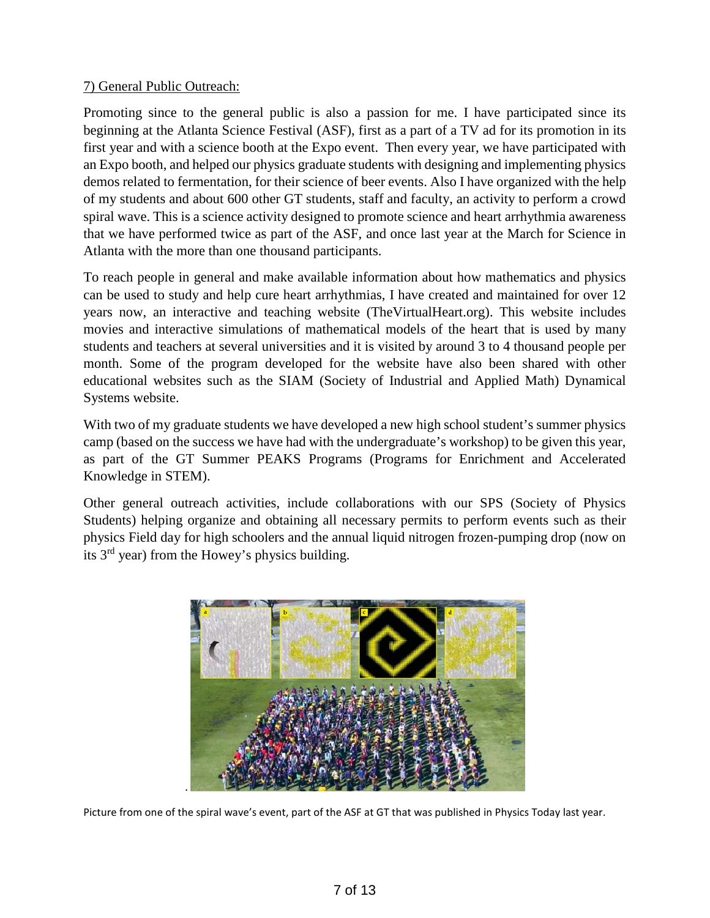## 7) General Public Outreach:

Promoting since to the general public is also a passion for me. I have participated since its beginning at the Atlanta Science Festival (ASF), first as a part of a TV ad for its promotion in its first year and with a science booth at the Expo event. Then every year, we have participated with an Expo booth, and helped our physics graduate students with designing and implementing physics demos related to fermentation, for their science of beer events. Also I have organized with the help of my students and about 600 other GT students, staff and faculty, an activity to perform a crowd spiral wave. This is a science activity designed to promote science and heart arrhythmia awareness that we have performed twice as part of the ASF, and once last year at the March for Science in Atlanta with the more than one thousand participants.

To reach people in general and make available information about how mathematics and physics can be used to study and help cure heart arrhythmias, I have created and maintained for over 12 years now, an interactive and teaching website (TheVirtualHeart.org). This website includes movies and interactive simulations of mathematical models of the heart that is used by many students and teachers at several universities and it is visited by around 3 to 4 thousand people per month. Some of the program developed for the website have also been shared with other educational websites such as the SIAM (Society of Industrial and Applied Math) Dynamical Systems website.

With two of my graduate students we have developed a new high school student's summer physics camp (based on the success we have had with the undergraduate's workshop) to be given this year, as part of the GT Summer PEAKS Programs (Programs for Enrichment and Accelerated Knowledge in STEM).

Other general outreach activities, include collaborations with our SPS (Society of Physics Students) helping organize and obtaining all necessary permits to perform events such as their physics Field day for high schoolers and the annual liquid nitrogen frozen-pumping drop (now on its 3rd year) from the Howey's physics building.



Picture from one of the spiral wave's event, part of the ASF at GT that was published in Physics Today last year.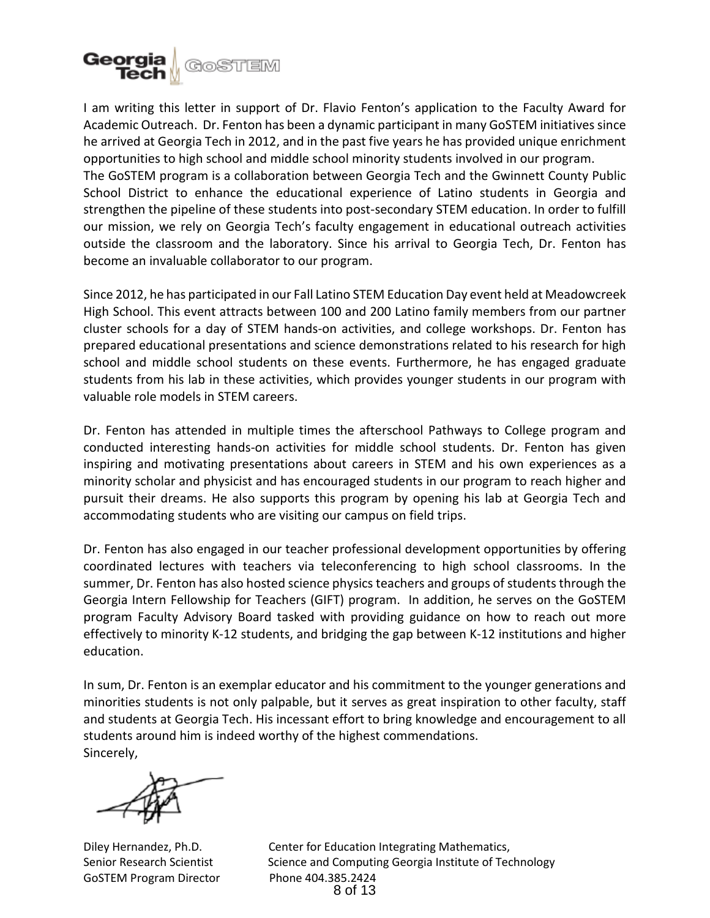

I am writing this letter in support of Dr. Flavio Fenton's application to the Faculty Award for Academic Outreach. Dr. Fenton has been a dynamic participant in many GoSTEM initiatives since he arrived at Georgia Tech in 2012, and in the past five years he has provided unique enrichment opportunities to high school and middle school minority students involved in our program. The GoSTEM program is a collaboration between Georgia Tech and the Gwinnett County Public School District to enhance the educational experience of Latino students in Georgia and strengthen the pipeline of these students into post-secondary STEM education. In order to fulfill our mission, we rely on Georgia Tech's faculty engagement in educational outreach activities outside the classroom and the laboratory. Since his arrival to Georgia Tech, Dr. Fenton has become an invaluable collaborator to our program.

Since 2012, he has participated in our Fall Latino STEM Education Day event held at Meadowcreek High School. This event attracts between 100 and 200 Latino family members from our partner cluster schools for a day of STEM hands-on activities, and college workshops. Dr. Fenton has prepared educational presentations and science demonstrations related to his research for high school and middle school students on these events. Furthermore, he has engaged graduate students from his lab in these activities, which provides younger students in our program with valuable role models in STEM careers.

Dr. Fenton has attended in multiple times the afterschool Pathways to College program and conducted interesting hands-on activities for middle school students. Dr. Fenton has given inspiring and motivating presentations about careers in STEM and his own experiences as a minority scholar and physicist and has encouraged students in our program to reach higher and pursuit their dreams. He also supports this program by opening his lab at Georgia Tech and accommodating students who are visiting our campus on field trips.

Dr. Fenton has also engaged in our teacher professional development opportunities by offering coordinated lectures with teachers via teleconferencing to high school classrooms. In the summer, Dr. Fenton has also hosted science physics teachers and groups of students through the Georgia Intern Fellowship for Teachers (GIFT) program. In addition, he serves on the GoSTEM program Faculty Advisory Board tasked with providing guidance on how to reach out more effectively to minority K-12 students, and bridging the gap between K-12 institutions and higher education.

In sum, Dr. Fenton is an exemplar educator and his commitment to the younger generations and minorities students is not only palpable, but it serves as great inspiration to other faculty, staff and students at Georgia Tech. His incessant effort to bring knowledge and encouragement to all students around him is indeed worthy of the highest commendations. Sincerely,

GoSTEM Program Director Phone 404.385.2424

Diley Hernandez, Ph.D. Center for Education Integrating Mathematics, Senior Research Scientist Science and Computing Georgia Institute of Technology 8 of 13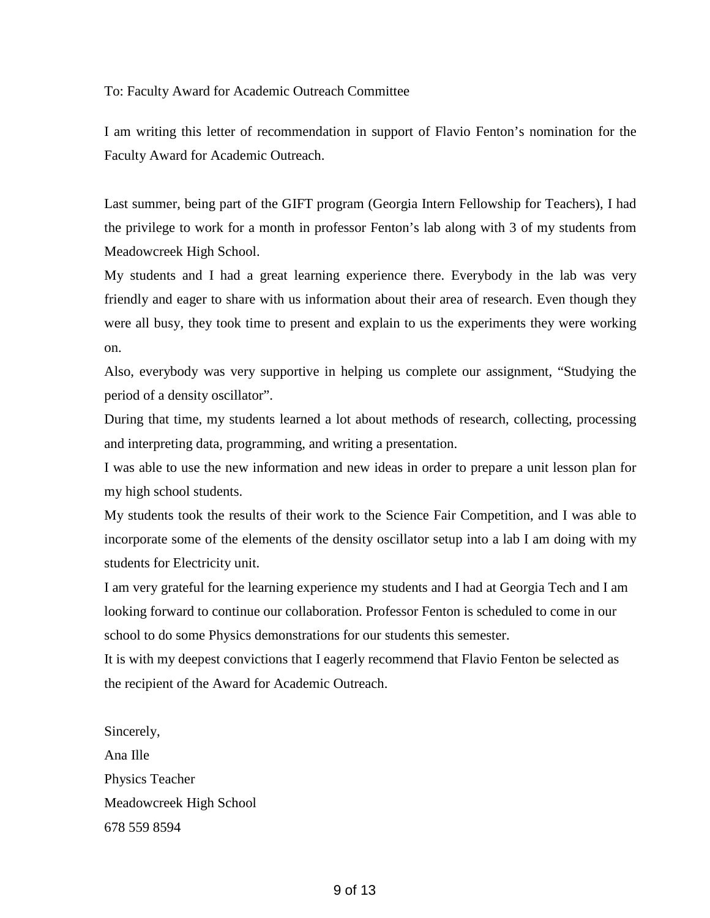To: Faculty Award for Academic Outreach Committee

I am writing this letter of recommendation in support of Flavio Fenton's nomination for the Faculty Award for Academic Outreach.

Last summer, being part of the GIFT program (Georgia Intern Fellowship for Teachers), I had the privilege to work for a month in professor Fenton's lab along with 3 of my students from Meadowcreek High School.

My students and I had a great learning experience there. Everybody in the lab was very friendly and eager to share with us information about their area of research. Even though they were all busy, they took time to present and explain to us the experiments they were working on.

Also, everybody was very supportive in helping us complete our assignment, "Studying the period of a density oscillator".

During that time, my students learned a lot about methods of research, collecting, processing and interpreting data, programming, and writing a presentation.

I was able to use the new information and new ideas in order to prepare a unit lesson plan for my high school students.

My students took the results of their work to the Science Fair Competition, and I was able to incorporate some of the elements of the density oscillator setup into a lab I am doing with my students for Electricity unit.

I am very grateful for the learning experience my students and I had at Georgia Tech and I am looking forward to continue our collaboration. Professor Fenton is scheduled to come in our school to do some Physics demonstrations for our students this semester.

It is with my deepest convictions that I eagerly recommend that Flavio Fenton be selected as the recipient of the Award for Academic Outreach.

Sincerely, Ana Ille Physics Teacher Meadowcreek High School 678 559 8594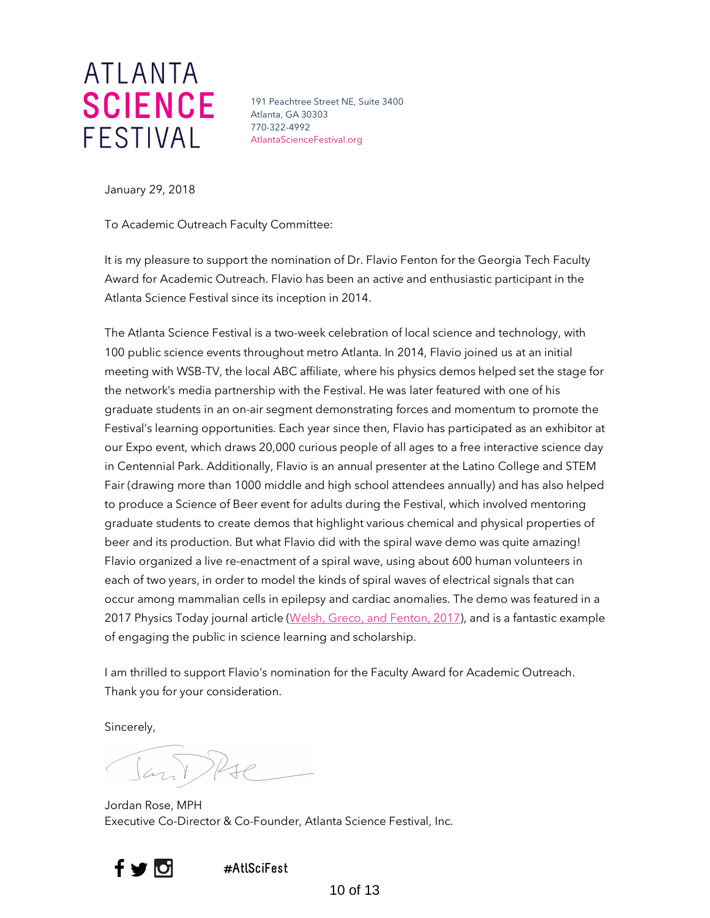# ATLANTA FESTIVAL

191 Peachtree Street NE, Suite 3400 Atlanta, GA 30303 770-322-4992 AtlantaScienceFestival.org

January 29, 2018

To Academic Outreach Faculty Committee:

It is my pleasure to support the nomination of Dr. Flavio Fenton for the Georgia Tech Faculty Award for Academic Outreach. Flavio has been an active and enthusiastic participant in the Atlanta Science Festival since its inception in 2014.

The Atlanta Science Festival is a two-week celebration of local science and technology, with 100 public science events throughout metro Atlanta. In 2014, Flavio joined us at an initial meeting with WSB-TV, the local ABC affiliate, where his physics demos helped set the stage for the network's media partnership with the Festival. He was later featured with one of his graduate students in an on-air segment demonstrating forces and momentum to promote the Festival's learning opportunities. Each year since then, Flavio has participated as an exhibitor at our Expo event, which draws 20,000 curious people of all ages to a free interactive science day in Centennial Park. Additionally, Flavio is an annual presenter at the Latino College and STEM Fair (drawing more than 1000 middle and high school attendees annually) and has also helped to produce a Science of Beer event for adults during the Festival, which involved mentoring graduate students to create demos that highlight various chemical and physical properties of beer and its production. But what Flavio did with the spiral wave demo was quite amazing! Flavio organized a live re-enactment of a spiral wave, using about 600 human volunteers in each of two years, in order to model the kinds of spiral waves of electrical signals that can occur among mammalian cells in epilepsy and cardiac anomalies. The demo was featured in a 2017 Physics Today journal article (Welsh, Greco, and Fenton, 2017), and is a fantastic example of engaging the public in science learning and scholarship.

I am thrilled to support Flavio's nomination for the Faculty Award for Academic Outreach. Thank you for your consideration.

Sincerely,

Jordan Rose, MPH Executive Co-Director & Co-Founder, Atlanta Science Festival, Inc.



 **#AtlSciFest**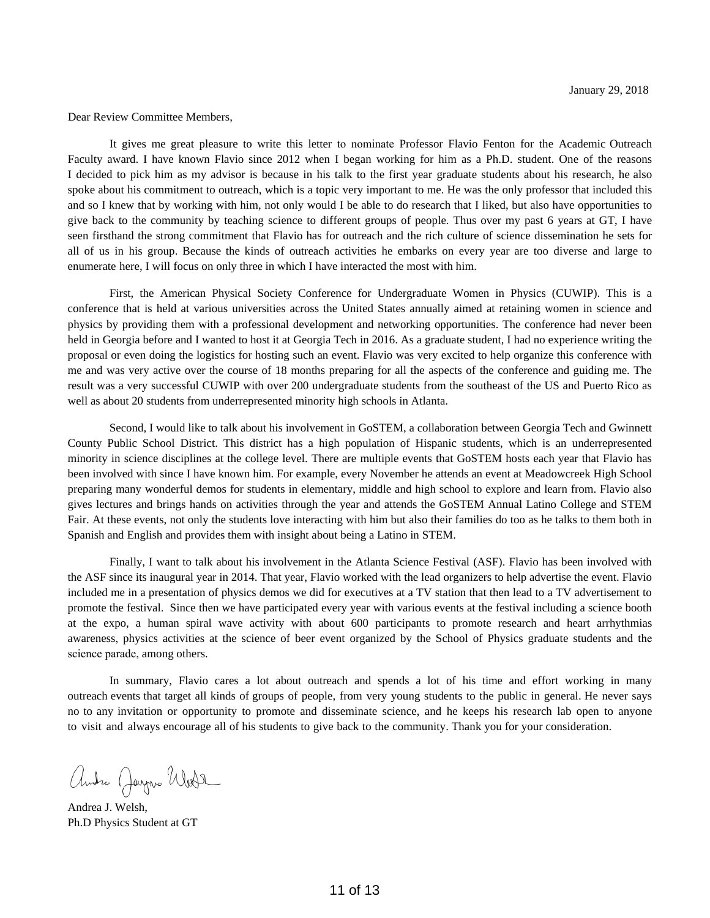Dear Review Committee Members,

It gives me great pleasure to write this letter to nominate Professor Flavio Fenton for the Academic Outreach Faculty award. I have known Flavio since 2012 when I began working for him as a Ph.D. student. One of the reasons I decided to pick him as my advisor is because in his talk to the first year graduate students about his research, he also spoke about his commitment to outreach, which is a topic very important to me. He was the only professor that included this and so I knew that by working with him, not only would I be able to do research that I liked, but also have opportunities to give back to the community by teaching science to different groups of people. Thus over my past 6 years at GT, I have seen firsthand the strong commitment that Flavio has for outreach and the rich culture of science dissemination he sets for all of us in his group. Because the kinds of outreach activities he embarks on every year are too diverse and large to enumerate here, I will focus on only three in which I have interacted the most with him.

First, the American Physical Society Conference for Undergraduate Women in Physics (CUWIP). This is a conference that is held at various universities across the United States annually aimed at retaining women in science and physics by providing them with a professional development and networking opportunities. The conference had never been held in Georgia before and I wanted to host it at Georgia Tech in 2016. As a graduate student, I had no experience writing the proposal or even doing the logistics for hosting such an event. Flavio was very excited to help organize this conference with me and was very active over the course of 18 months preparing for all the aspects of the conference and guiding me. The result was a very successful CUWIP with over 200 undergraduate students from the southeast of the US and Puerto Rico as well as about 20 students from underrepresented minority high schools in Atlanta.

Second, I would like to talk about his involvement in GoSTEM, a collaboration between Georgia Tech and Gwinnett County Public School District. This district has a high population of Hispanic students, which is an underrepresented minority in science disciplines at the college level. There are multiple events that GoSTEM hosts each year that Flavio has been involved with since I have known him. For example, every November he attends an event at Meadowcreek High School preparing many wonderful demos for students in elementary, middle and high school to explore and learn from. Flavio also gives lectures and brings hands on activities through the year and attends the GoSTEM Annual Latino College and STEM Fair. At these events, not only the students love interacting with him but also their families do too as he talks to them both in Spanish and English and provides them with insight about being a Latino in STEM.

Finally, I want to talk about his involvement in the Atlanta Science Festival (ASF). Flavio has been involved with the ASF since its inaugural year in 2014. That year, Flavio worked with the lead organizers to help advertise the event. Flavio included me in a presentation of physics demos we did for executives at a TV station that then lead to a TV advertisement to promote the festival. Since then we have participated every year with various events at the festival including a science booth at the expo, a human spiral wave activity with about 600 participants to promote research and heart arrhythmias awareness, physics activities at the science of beer event organized by the School of Physics graduate students and the science parade, among others.

In summary, Flavio cares a lot about outreach and spends a lot of his time and effort working in many outreach events that target all kinds of groups of people, from very young students to the public in general. He never says no to any invitation or opportunity to promote and disseminate science, and he keeps his research lab open to anyone to visit and always encourage all of his students to give back to the community. Thank you for your consideration.

Andre Jayne Weste

Andrea J. Welsh, Ph.D Physics Student at GT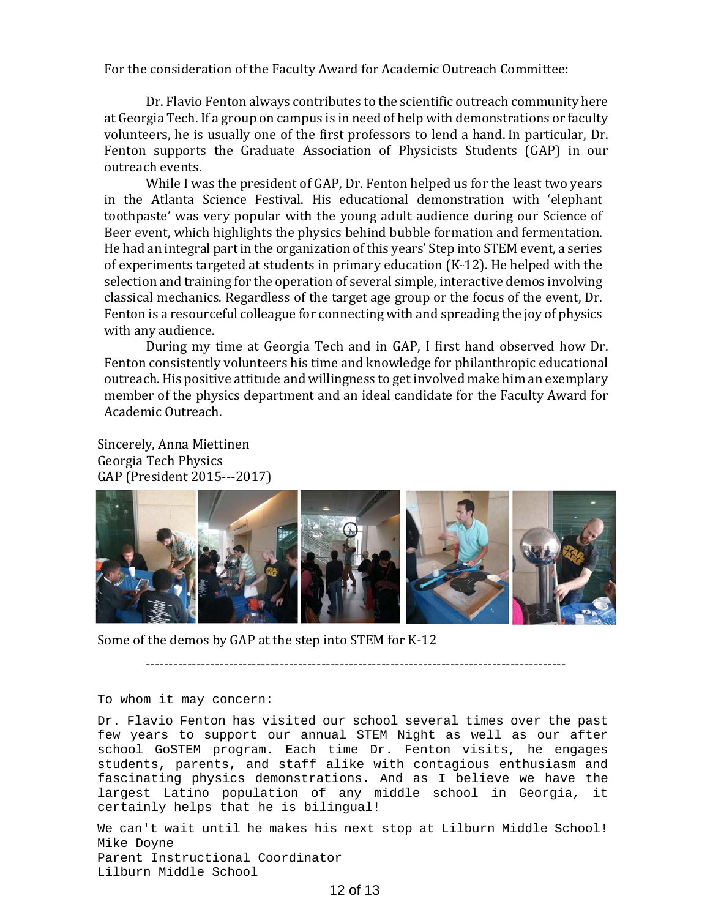For the consideration of the Faculty Award for Academic Outreach Committee:

Dr. Flavio Fenton always contributes to the scientific outreach community here at Georgia Tech. If a group on campus is in need of help with demonstrations or faculty volunteers, he is usually one of the first professors to lend a hand. In particular, Dr. Fenton supports the Graduate Association of Physicists Students (GAP) in our outreach events.

While I was the president of GAP, Dr. Fenton helped us for the least two years in the Atlanta Science Festival. His educational demonstration with 'elephant toothpaste' was very popular with the young adult audience during our Science of Beer event, which highlights the physics behind bubble formation and fermentation. He had an integral part in the organization of this years' Step into STEM event, a series of experiments targeted at students in primary education  $(K-12)$ . He helped with the selection and training for the operation of several simple, interactive demos involving classical mechanics. Regardless of the target age group or the focus of the event, Dr. Fenton is a resourceful colleague for connecting with and spreading the joy of physics with any audience.

During my time at Georgia Tech and in GAP, I first hand observed how Dr. Fenton consistently volunteers his time and knowledge for philanthropic educational outreach.His positive attitude and willingness to get involved make him an exemplary member of the physics department and an ideal candidate for the Faculty Award for Academic Outreach.

Sincerely, Anna Miettinen Georgia Tech Physics GAP (President 2015---2017)



Some of the demos by GAP at the step into STEM for K-12

-------------------------------------------------------------------------------------------

#### To whom it may concern:

Dr. Flavio Fenton has visited our school several times over the past few years to support our annual STEM Night as well as our after school GoSTEM program. Each time Dr. Fenton visits, he engages students, parents, and staff alike with contagious enthusiasm and fascinating physics demonstrations. And as I believe we have the largest Latino population of any middle school in Georgia, it certainly helps that he is bilingual!

We can't wait until he makes his next stop at Lilburn Middle School! Mike Doyne Parent Instructional Coordinator Lilburn Middle School